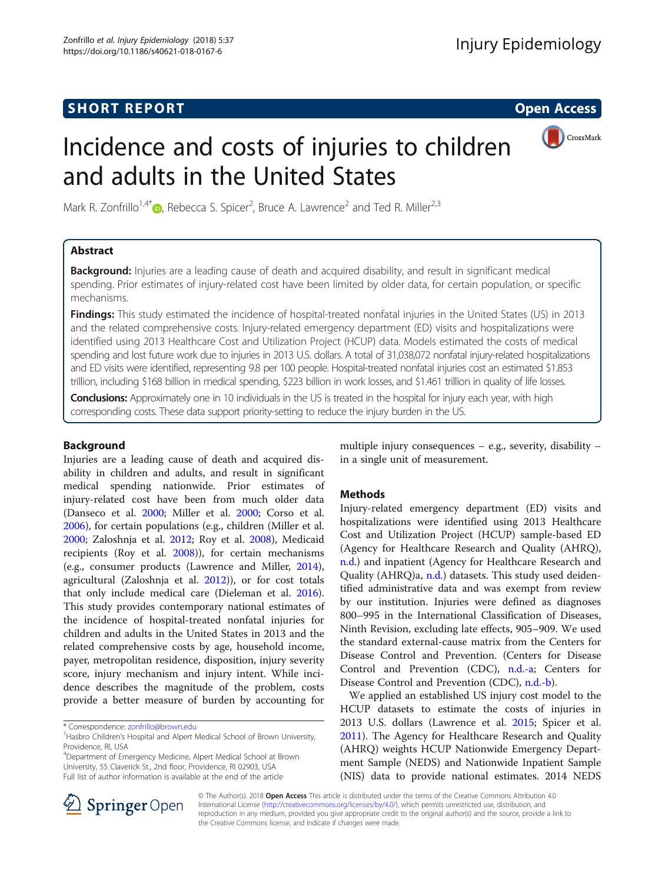# **SHORT REPORT CONSUMING THE OPEN ACCESS**

# Incidence and costs of injuries to children and adults in the United States



Mark R. Zonfrillo<sup>1,4[\\*](http://orcid.org/0000-0002-0610-9563)</sup> (D, Rebecca S. Spicer<sup>2</sup>, Bruce A. Lawrence<sup>2</sup> and Ted R. Miller<sup>2,3</sup>

## Abstract

Background: Injuries are a leading cause of death and acquired disability, and result in significant medical spending. Prior estimates of injury-related cost have been limited by older data, for certain population, or specific mechanisms.

**Findings:** This study estimated the incidence of hospital-treated nonfatal injuries in the United States (US) in 2013 and the related comprehensive costs. Injury-related emergency department (ED) visits and hospitalizations were identified using 2013 Healthcare Cost and Utilization Project (HCUP) data. Models estimated the costs of medical spending and lost future work due to injuries in 2013 U.S. dollars. A total of 31,038,072 nonfatal injury-related hospitalizations and ED visits were identified, representing 9.8 per 100 people. Hospital-treated nonfatal injuries cost an estimated \$1.853 trillion, including \$168 billion in medical spending, \$223 billion in work losses, and \$1.461 trillion in quality of life losses.

Conclusions: Approximately one in 10 individuals in the US is treated in the hospital for injury each year, with high corresponding costs. These data support priority-setting to reduce the injury burden in the US.

## Background

Injuries are a leading cause of death and acquired disability in children and adults, and result in significant medical spending nationwide. Prior estimates of injury-related cost have been from much older data (Danseco et al. [2000;](#page-5-0) Miller et al. [2000](#page-5-0); Corso et al. [2006](#page-4-0)), for certain populations (e.g., children (Miller et al. [2000](#page-5-0); Zaloshnja et al. [2012;](#page-5-0) Roy et al. [2008](#page-5-0)), Medicaid recipients (Roy et al. [2008\)](#page-5-0)), for certain mechanisms (e.g., consumer products (Lawrence and Miller, [2014](#page-5-0)), agricultural (Zaloshnja et al. [2012\)](#page-5-0)), or for cost totals that only include medical care (Dieleman et al. [2016](#page-5-0)). This study provides contemporary national estimates of the incidence of hospital-treated nonfatal injuries for children and adults in the United States in 2013 and the related comprehensive costs by age, household income, payer, metropolitan residence, disposition, injury severity score, injury mechanism and injury intent. While incidence describes the magnitude of the problem, costs provide a better measure of burden by accounting for

\* Correspondence: [zonfrillo@brown.edu](mailto:zonfrillo@brown.edu) <sup>1</sup>

4 Department of Emergency Medicine, Alpert Medical School at Brown University, 55 Claverick St., 2nd floor, Providence, RI 02903, USA Full list of author information is available at the end of the article

multiple injury consequences  $-$  e.g., severity, disability  $$ in a single unit of measurement.

## **Methods**

Injury-related emergency department (ED) visits and hospitalizations were identified using 2013 Healthcare Cost and Utilization Project (HCUP) sample-based ED (Agency for Healthcare Research and Quality (AHRQ), [n.d.\)](#page-4-0) and inpatient (Agency for Healthcare Research and Quality (AHRQ)a, [n.d.\)](#page-4-0) datasets. This study used deidentified administrative data and was exempt from review by our institution. Injuries were defined as diagnoses 800–995 in the International Classification of Diseases, Ninth Revision, excluding late effects, 905–909. We used the standard external-cause matrix from the Centers for Disease Control and Prevention. (Centers for Disease Control and Prevention (CDC), [n.d.-a](#page-4-0); Centers for Disease Control and Prevention (CDC), [n.d.-b\)](#page-4-0).

We applied an established US injury cost model to the HCUP datasets to estimate the costs of injuries in 2013 U.S. dollars (Lawrence et al. [2015;](#page-5-0) Spicer et al. [2011](#page-5-0)). The Agency for Healthcare Research and Quality (AHRQ) weights HCUP Nationwide Emergency Department Sample (NEDS) and Nationwide Inpatient Sample (NIS) data to provide national estimates. 2014 NEDS



© The Author(s). 2018 Open Access This article is distributed under the terms of the Creative Commons Attribution 4.0 International License ([http://creativecommons.org/licenses/by/4.0/\)](http://creativecommons.org/licenses/by/4.0/), which permits unrestricted use, distribution, and reproduction in any medium, provided you give appropriate credit to the original author(s) and the source, provide a link to the Creative Commons license, and indicate if changes were made.

<sup>&</sup>lt;sup>1</sup> Hasbro Children's Hospital and Alpert Medical School of Brown University, Providence, RI, USA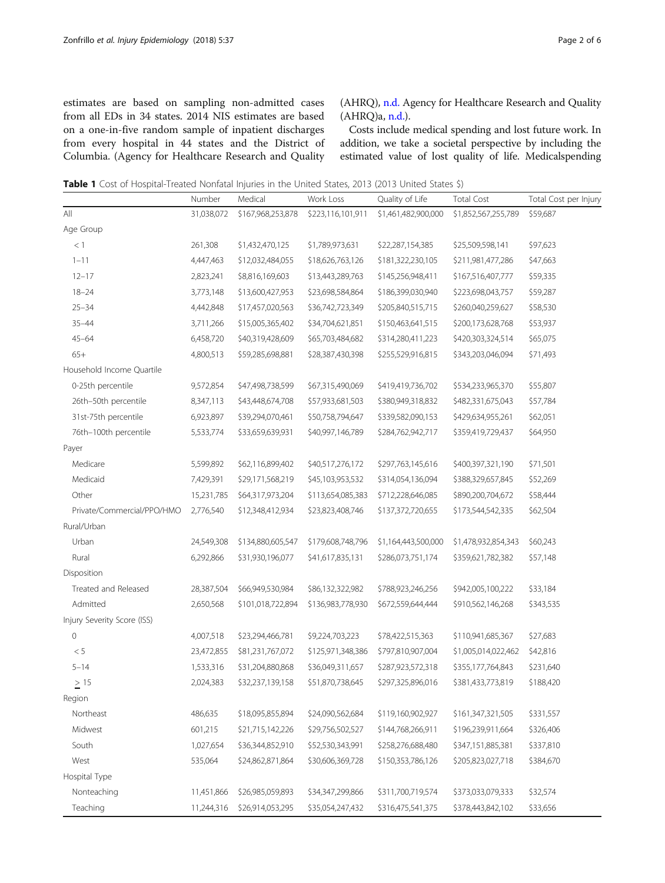<span id="page-1-0"></span>estimates are based on sampling non-admitted cases from all EDs in 34 states. 2014 NIS estimates are based on a one-in-five random sample of inpatient discharges from every hospital in 44 states and the District of Columbia. (Agency for Healthcare Research and Quality (AHRQ), [n.d.](#page-4-0) Agency for Healthcare Research and Quality  $(AHRQ)a, n.d.$ ).

Costs include medical spending and lost future work. In addition, we take a societal perspective by including the estimated value of lost quality of life. Medicalspending

Table 1 Cost of Hospital-Treated Nonfatal Injuries in the United States, 2013 (2013 United States \$)

|                             | Number     | Medical           | Work Loss         | Quality of Life     | <b>Total Cost</b>   | Total Cost per Injury |
|-----------------------------|------------|-------------------|-------------------|---------------------|---------------------|-----------------------|
| All                         | 31,038,072 | \$167,968,253,878 | \$223,116,101,911 | \$1,461,482,900,000 | \$1,852,567,255,789 | \$59,687              |
| Age Group                   |            |                   |                   |                     |                     |                       |
| < 1                         | 261,308    | \$1,432,470,125   | \$1,789,973,631   | \$22,287,154,385    | \$25,509,598,141    | \$97,623              |
| $1 - 11$                    | 4,447,463  | \$12,032,484,055  | \$18,626,763,126  | \$181,322,230,105   | \$211,981,477,286   | \$47,663              |
| $12 - 17$                   | 2,823,241  | \$8,816,169,603   | \$13,443,289,763  | \$145,256,948,411   | \$167,516,407,777   | \$59,335              |
| $18 - 24$                   | 3,773,148  | \$13,600,427,953  | \$23,698,584,864  | \$186,399,030,940   | \$223,698,043,757   | \$59,287              |
| $25 - 34$                   | 4,442,848  | \$17,457,020,563  | \$36,742,723,349  | \$205,840,515,715   | \$260,040,259,627   | \$58,530              |
| $35 - 44$                   | 3,711,266  | \$15,005,365,402  | \$34,704,621,851  | \$150,463,641,515   | \$200,173,628,768   | \$53,937              |
| $45 - 64$                   | 6,458,720  | \$40,319,428,609  | \$65,703,484,682  | \$314,280,411,223   | \$420,303,324,514   | \$65,075              |
| $65+$                       | 4,800,513  | \$59,285,698,881  | \$28,387,430,398  | \$255,529,916,815   | \$343,203,046,094   | \$71,493              |
| Household Income Quartile   |            |                   |                   |                     |                     |                       |
| 0-25th percentile           | 9,572,854  | \$47,498,738,599  | \$67,315,490,069  | \$419,419,736,702   | \$534,233,965,370   | \$55,807              |
| 26th-50th percentile        | 8,347,113  | \$43,448,674,708  | \$57,933,681,503  | \$380,949,318,832   | \$482,331,675,043   | \$57,784              |
| 31st-75th percentile        | 6,923,897  | \$39,294,070,461  | \$50,758,794,647  | \$339,582,090,153   | \$429,634,955,261   | \$62,051              |
| 76th-100th percentile       | 5,533,774  | \$33,659,639,931  | \$40,997,146,789  | \$284,762,942,717   | \$359,419,729,437   | \$64,950              |
| Payer                       |            |                   |                   |                     |                     |                       |
| Medicare                    | 5,599,892  | \$62,116,899,402  | \$40,517,276,172  | \$297,763,145,616   | \$400,397,321,190   | \$71,501              |
| Medicaid                    | 7,429,391  | \$29,171,568,219  | \$45,103,953,532  | \$314,054,136,094   | \$388,329,657,845   | \$52,269              |
| Other                       | 15,231,785 | \$64,317,973,204  | \$113,654,085,383 | \$712,228,646,085   | \$890,200,704,672   | \$58,444              |
| Private/Commercial/PPO/HMO  | 2,776,540  | \$12,348,412,934  | \$23,823,408,746  | \$137,372,720,655   | \$173,544,542,335   | \$62,504              |
| Rural/Urban                 |            |                   |                   |                     |                     |                       |
| Urban                       | 24,549,308 | \$134,880,605,547 | \$179,608,748,796 | \$1,164,443,500,000 | \$1,478,932,854,343 | \$60,243              |
| Rural                       | 6,292,866  | \$31,930,196,077  | \$41,617,835,131  | \$286,073,751,174   | \$359,621,782,382   | \$57,148              |
| Disposition                 |            |                   |                   |                     |                     |                       |
| Treated and Released        | 28,387,504 | \$66,949,530,984  | \$86,132,322,982  | \$788,923,246,256   | \$942,005,100,222   | \$33,184              |
| Admitted                    | 2,650,568  | \$101,018,722,894 | \$136,983,778,930 | \$672,559,644,444   | \$910,562,146,268   | \$343,535             |
| Injury Severity Score (ISS) |            |                   |                   |                     |                     |                       |
| $\mathbf 0$                 | 4,007,518  | \$23,294,466,781  | \$9,224,703,223   | \$78,422,515,363    | \$110,941,685,367   | \$27,683              |
| $< 5\,$                     | 23,472,855 | \$81,231,767,072  | \$125,971,348,386 | \$797,810,907,004   | \$1,005,014,022,462 | \$42,816              |
| $5 - 14$                    | 1,533,316  | \$31,204,880,868  | \$36,049,311,657  | \$287,923,572,318   | \$355,177,764,843   | \$231,640             |
| >15                         | 2,024,383  | \$32,237,139,158  | \$51,870,738,645  | \$297,325,896,016   | \$381,433,773,819   | \$188,420             |
| Region                      |            |                   |                   |                     |                     |                       |
| Northeast                   | 486,635    | \$18,095,855,894  | \$24,090,562,684  | \$119,160,902,927   | \$161,347,321,505   | \$331,557             |
| Midwest                     | 601,215    | \$21,715,142,226  | \$29,756,502,527  | \$144,768,266,911   | \$196,239,911,664   | \$326,406             |
| South                       | 1,027,654  | \$36,344,852,910  | \$52,530,343,991  | \$258,276,688,480   | \$347,151,885,381   | \$337,810             |
| West                        | 535,064    | \$24,862,871,864  | \$30,606,369,728  | \$150,353,786,126   | \$205,823,027,718   | \$384,670             |
| Hospital Type               |            |                   |                   |                     |                     |                       |
| Nonteaching                 | 11,451,866 | \$26,985,059,893  | \$34,347,299,866  | \$311,700,719,574   | \$373,033,079,333   | \$32,574              |
| Teaching                    | 11,244,316 | \$26,914,053,295  | \$35,054,247,432  | \$316,475,541,375   | \$378,443,842,102   | \$33,656              |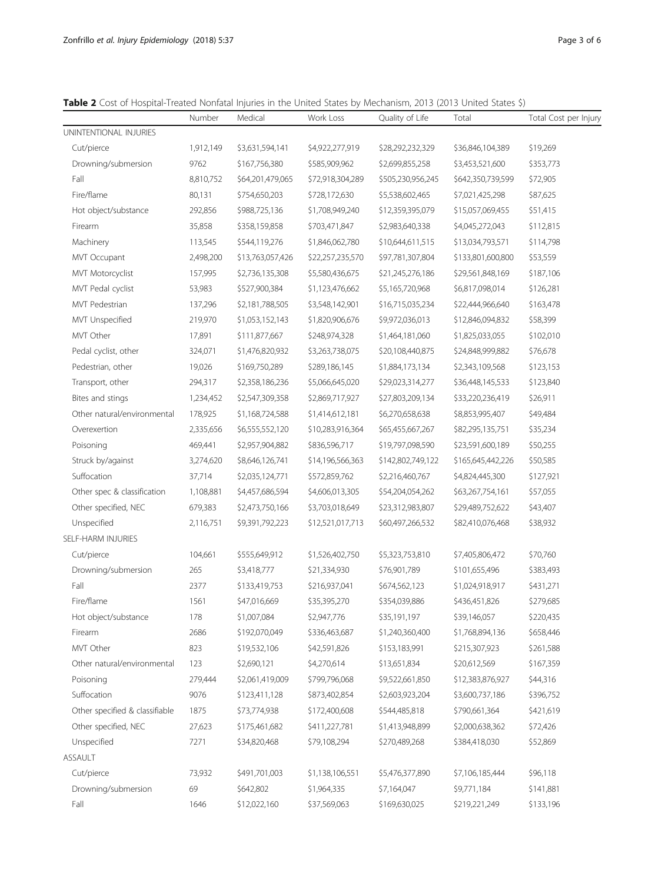<span id="page-2-0"></span>Table 2 Cost of Hospital-Treated Nonfatal Injuries in the United States by Mechanism, 2013 (2013 United States \$)

|                                | Number    | Medical          | Work Loss        | Quality of Life   | Total             | Total Cost per Injury |
|--------------------------------|-----------|------------------|------------------|-------------------|-------------------|-----------------------|
| UNINTENTIONAL INJURIES         |           |                  |                  |                   |                   |                       |
| Cut/pierce                     | 1,912,149 | \$3,631,594,141  | \$4,922,277,919  | \$28,292,232,329  | \$36,846,104,389  | \$19,269              |
| Drowning/submersion            | 9762      | \$167,756,380    | \$585,909,962    | \$2,699,855,258   | \$3,453,521,600   | \$353,773             |
| Fall                           | 8,810,752 | \$64,201,479,065 | \$72,918,304,289 | \$505,230,956,245 | \$642,350,739,599 | \$72,905              |
| Fire/flame                     | 80,131    | \$754,650,203    | \$728,172,630    | \$5,538,602,465   | \$7,021,425,298   | \$87,625              |
| Hot object/substance           | 292,856   | \$988,725,136    | \$1,708,949,240  | \$12,359,395,079  | \$15,057,069,455  | \$51,415              |
| Firearm                        | 35,858    | \$358,159,858    | \$703,471,847    | \$2,983,640,338   | \$4,045,272,043   | \$112,815             |
| Machinery                      | 113,545   | \$544,119,276    | \$1,846,062,780  | \$10,644,611,515  | \$13,034,793,571  | \$114,798             |
| MVT Occupant                   | 2,498,200 | \$13,763,057,426 | \$22,257,235,570 | \$97,781,307,804  | \$133,801,600,800 | \$53,559              |
| MVT Motorcyclist               | 157,995   | \$2,736,135,308  | \$5,580,436,675  | \$21,245,276,186  | \$29,561,848,169  | \$187,106             |
| MVT Pedal cyclist              | 53,983    | \$527,900,384    | \$1,123,476,662  | \$5,165,720,968   | \$6,817,098,014   | \$126,281             |
| <b>MVT Pedestrian</b>          | 137,296   | \$2,181,788,505  | \$3,548,142,901  | \$16,715,035,234  | \$22,444,966,640  | \$163,478             |
| MVT Unspecified                | 219,970   | \$1,053,152,143  | \$1,820,906,676  | \$9,972,036,013   | \$12,846,094,832  | \$58,399              |
| MVT Other                      | 17,891    | \$111,877,667    | \$248,974,328    | \$1,464,181,060   | \$1,825,033,055   | \$102,010             |
| Pedal cyclist, other           | 324,071   | \$1,476,820,932  | \$3,263,738,075  | \$20,108,440,875  | \$24,848,999,882  | \$76,678              |
| Pedestrian, other              | 19,026    | \$169,750,289    | \$289,186,145    | \$1,884,173,134   | \$2,343,109,568   | \$123,153             |
| Transport, other               | 294,317   | \$2,358,186,236  | \$5,066,645,020  | \$29,023,314,277  | \$36,448,145,533  | \$123,840             |
| Bites and stings               | 1,234,452 | \$2,547,309,358  | \$2,869,717,927  | \$27,803,209,134  | \$33,220,236,419  | \$26,911              |
| Other natural/environmental    | 178,925   | \$1,168,724,588  | \$1,414,612,181  | \$6,270,658,638   | \$8,853,995,407   | \$49,484              |
| Overexertion                   | 2,335,656 | \$6,555,552,120  | \$10,283,916,364 | \$65,455,667,267  | \$82,295,135,751  | \$35,234              |
| Poisoning                      | 469,441   | \$2,957,904,882  | \$836,596,717    | \$19,797,098,590  | \$23,591,600,189  | \$50,255              |
| Struck by/against              | 3,274,620 | \$8,646,126,741  | \$14,196,566,363 | \$142,802,749,122 | \$165,645,442,226 | \$50,585              |
| Suffocation                    | 37,714    | \$2,035,124,771  | \$572,859,762    | \$2,216,460,767   | \$4,824,445,300   | \$127,921             |
| Other spec & classification    | 1,108,881 | \$4,457,686,594  | \$4,606,013,305  | \$54,204,054,262  | \$63,267,754,161  | \$57,055              |
| Other specified, NEC           | 679,383   | \$2,473,750,166  | \$3,703,018,649  | \$23,312,983,807  | \$29,489,752,622  | \$43,407              |
| Unspecified                    | 2,116,751 | \$9,391,792,223  | \$12,521,017,713 | \$60,497,266,532  | \$82,410,076,468  | \$38,932              |
| SELF-HARM INJURIES             |           |                  |                  |                   |                   |                       |
| Cut/pierce                     | 104,661   | \$555,649,912    | \$1,526,402,750  | \$5,323,753,810   | \$7,405,806,472   | \$70,760              |
| Drowning/submersion            | 265       | \$3,418,777      | \$21,334,930     | \$76,901,789      | \$101,655,496     | \$383,493             |
| Fall                           | 2377      | \$133,419,753    | \$216,937,041    | \$674,562,123     | \$1,024,918,917   | \$431,271             |
| Fire/flame                     | 1561      | \$47,016,669     | \$35,395,270     | \$354,039,886     | \$436,451,826     | \$279,685             |
| Hot object/substance           | 178       | \$1,007,084      | \$2,947,776      | \$35,191,197      | \$39,146,057      | \$220,435             |
| Firearm                        | 2686      | \$192,070,049    | \$336,463,687    | \$1,240,360,400   | \$1,768,894,136   | \$658,446             |
| MVT Other                      | 823       | \$19,532,106     | \$42,591,826     | \$153,183,991     | \$215,307,923     | \$261,588             |
| Other natural/environmental    | 123       | \$2,690,121      | \$4,270,614      | \$13,651,834      | \$20,612,569      | \$167,359             |
| Poisoning                      | 279,444   | \$2,061,419,009  | \$799,796,068    | \$9,522,661,850   | \$12,383,876,927  | \$44,316              |
| Suffocation                    | 9076      | \$123,411,128    | \$873,402,854    | \$2,603,923,204   | \$3,600,737,186   | \$396,752             |
| Other specified & classifiable | 1875      | \$73,774,938     | \$172,400,608    | \$544,485,818     | \$790,661,364     | \$421,619             |
| Other specified, NEC           | 27,623    | \$175,461,682    | \$411,227,781    | \$1,413,948,899   | \$2,000,638,362   | \$72,426              |
| Unspecified                    | 7271      | \$34,820,468     | \$79,108,294     | \$270,489,268     | \$384,418,030     | \$52,869              |
| ASSAULT                        |           |                  |                  |                   |                   |                       |
| Cut/pierce                     | 73,932    | \$491,701,003    | \$1,138,106,551  | \$5,476,377,890   | \$7,106,185,444   | \$96,118              |
| Drowning/submersion            | 69        | \$642,802        | \$1,964,335      | \$7,164,047       | \$9,771,184       | \$141,881             |
| Fall                           | 1646      | \$12,022,160     | \$37,569,063     | \$169,630,025     | \$219,221,249     | \$133,196             |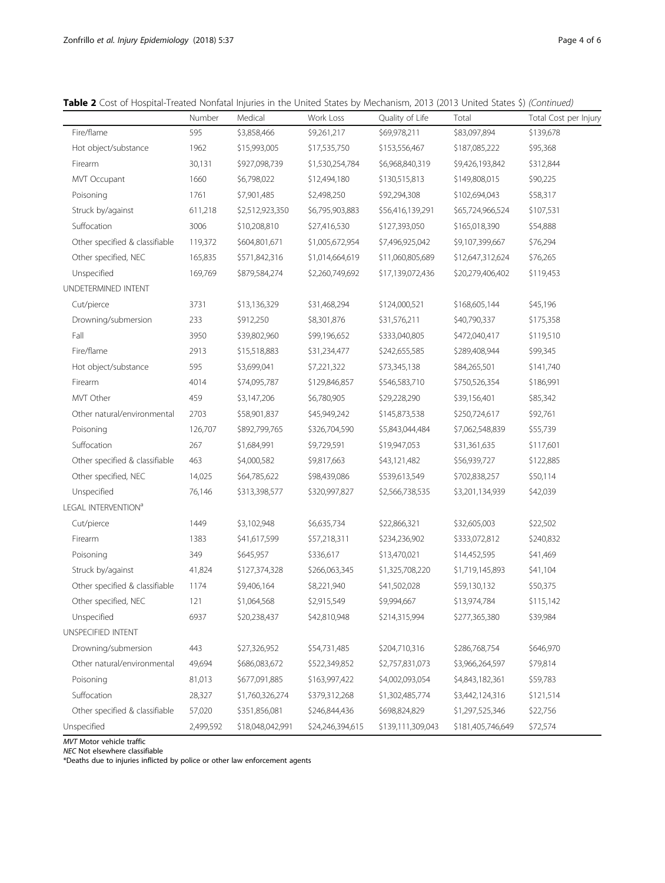|                                 | Number    | Medical          | Work Loss        | Quality of Life   | Total             | Total Cost per Injury |
|---------------------------------|-----------|------------------|------------------|-------------------|-------------------|-----------------------|
| Fire/flame                      | 595       | \$3,858,466      | \$9,261,217      | \$69,978,211      | \$83,097,894      | \$139,678             |
| Hot object/substance            | 1962      | \$15,993,005     | \$17,535,750     | \$153,556,467     | \$187,085,222     | \$95,368              |
| Firearm                         | 30,131    | \$927,098,739    | \$1,530,254,784  | \$6,968,840,319   | \$9,426,193,842   | \$312,844             |
| MVT Occupant                    | 1660      | \$6,798,022      | \$12,494,180     | \$130,515,813     | \$149,808,015     | \$90,225              |
| Poisoning                       | 1761      | \$7,901,485      | \$2,498,250      | \$92,294,308      | \$102,694,043     | \$58,317              |
| Struck by/against               | 611,218   | \$2,512,923,350  | \$6,795,903,883  | \$56,416,139,291  | \$65,724,966,524  | \$107,531             |
| Suffocation                     | 3006      | \$10,208,810     | \$27,416,530     | \$127,393,050     | \$165,018,390     | \$54,888              |
| Other specified & classifiable  | 119,372   | \$604,801,671    | \$1,005,672,954  | \$7,496,925,042   | \$9,107,399,667   | \$76,294              |
| Other specified, NEC            | 165,835   | \$571,842,316    | \$1,014,664,619  | \$11,060,805,689  | \$12,647,312,624  | \$76,265              |
| Unspecified                     | 169,769   | \$879,584,274    | \$2,260,749,692  | \$17,139,072,436  | \$20,279,406,402  | \$119,453             |
| UNDETERMINED INTENT             |           |                  |                  |                   |                   |                       |
| Cut/pierce                      | 3731      | \$13,136,329     | \$31,468,294     | \$124,000,521     | \$168,605,144     | \$45,196              |
| Drowning/submersion             | 233       | \$912,250        | \$8,301,876      | \$31,576,211      | \$40,790,337      | \$175,358             |
| Fall                            | 3950      | \$39,802,960     | \$99,196,652     | \$333,040,805     | \$472,040,417     | \$119,510             |
| Fire/flame                      | 2913      | \$15,518,883     | \$31,234,477     | \$242,655,585     | \$289,408,944     | \$99,345              |
| Hot object/substance            | 595       | \$3,699,041      | \$7,221,322      | \$73,345,138      | \$84,265,501      | \$141,740             |
| Firearm                         | 4014      | \$74,095,787     | \$129,846,857    | \$546,583,710     | \$750,526,354     | \$186,991             |
| MVT Other                       | 459       | \$3,147,206      | \$6,780,905      | \$29,228,290      | \$39,156,401      | \$85,342              |
| Other natural/environmental     | 2703      | \$58,901,837     | \$45,949,242     | \$145,873,538     | \$250,724,617     | \$92,761              |
| Poisoning                       | 126,707   | \$892,799,765    | \$326,704,590    | \$5,843,044,484   | \$7,062,548,839   | \$55,739              |
| Suffocation                     | 267       | \$1,684,991      | \$9,729,591      | \$19,947,053      | \$31,361,635      | \$117,601             |
| Other specified & classifiable  | 463       | \$4,000,582      | \$9,817,663      | \$43,121,482      | \$56,939,727      | \$122,885             |
| Other specified, NEC            | 14,025    | \$64,785,622     | \$98,439,086     | \$539,613,549     | \$702,838,257     | \$50,114              |
| Unspecified                     | 76,146    | \$313,398,577    | \$320,997,827    | \$2,566,738,535   | \$3,201,134,939   | \$42,039              |
| LEGAL INTERVENTION <sup>a</sup> |           |                  |                  |                   |                   |                       |
| Cut/pierce                      | 1449      | \$3,102,948      | \$6,635,734      | \$22,866,321      | \$32,605,003      | \$22,502              |
| Firearm                         | 1383      | \$41,617,599     | \$57,218,311     | \$234,236,902     | \$333,072,812     | \$240,832             |
| Poisoning                       | 349       | \$645,957        | \$336,617        | \$13,470,021      | \$14,452,595      | \$41,469              |
| Struck by/against               | 41,824    | \$127,374,328    | \$266,063,345    | \$1,325,708,220   | \$1,719,145,893   | \$41,104              |
| Other specified & classifiable  | 1174      | \$9,406,164      | \$8,221,940      | \$41,502,028      | \$59,130,132      | \$50,375              |
| Other specified, NEC            | 121       | \$1,064,568      | \$2,915,549      | \$9,994,667       | \$13,974,784      | \$115,142             |
| Unspecified                     | 6937      | \$20,238,437     | \$42,810,948     | \$214,315,994     | \$277,365,380     | \$39,984              |
| UNSPECIFIED INTENT              |           |                  |                  |                   |                   |                       |
| Drowning/submersion             | 443       | \$27,326,952     | \$54,731,485     | \$204,710,316     | \$286,768,754     | \$646,970             |
| Other natural/environmental     | 49,694    | \$686,083,672    | \$522,349,852    | \$2,757,831,073   | \$3,966,264,597   | \$79,814              |
| Poisoning                       | 81,013    | \$677,091,885    | \$163,997,422    | \$4,002,093,054   | \$4,843,182,361   | \$59,783              |
| Suffocation                     | 28,327    | \$1,760,326,274  | \$379,312,268    | \$1,302,485,774   | \$3,442,124,316   | \$121,514             |
| Other specified & classifiable  | 57,020    | \$351,856,081    | \$246,844,436    | \$698,824,829     | \$1,297,525,346   | \$22,756              |
| Unspecified                     | 2,499,592 | \$18,048,042,991 | \$24,246,394,615 | \$139,111,309,043 | \$181,405,746,649 | \$72,574              |

MVT Motor vehicle traffic

NEC Not elsewhere classifiable

\*Deaths due to injuries inflicted by police or other law enforcement agents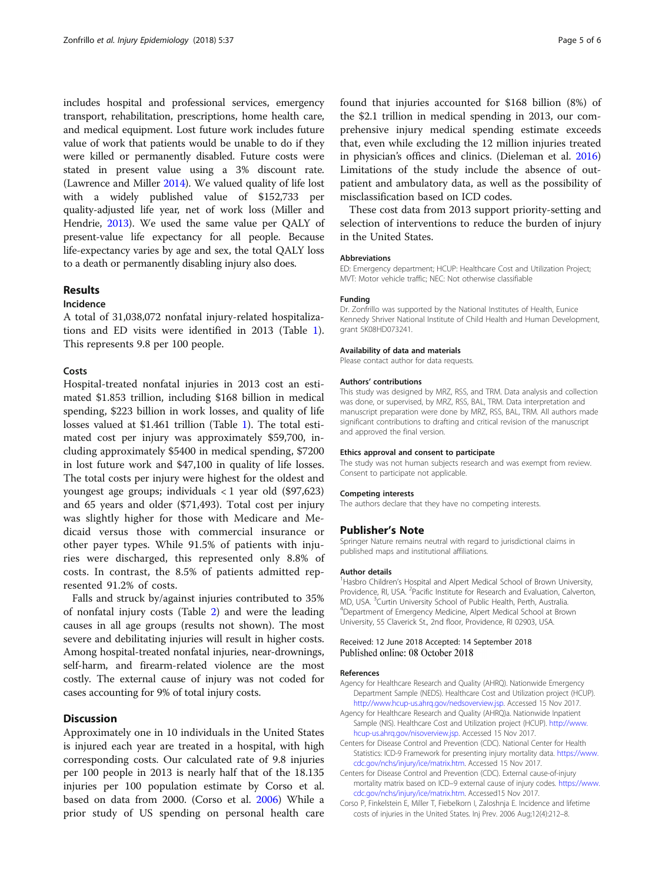<span id="page-4-0"></span>includes hospital and professional services, emergency transport, rehabilitation, prescriptions, home health care, and medical equipment. Lost future work includes future value of work that patients would be unable to do if they were killed or permanently disabled. Future costs were stated in present value using a 3% discount rate. (Lawrence and Miller [2014\)](#page-5-0). We valued quality of life lost with a widely published value of \$152,733 per quality-adjusted life year, net of work loss (Miller and Hendrie, [2013](#page-5-0)). We used the same value per QALY of present-value life expectancy for all people. Because life-expectancy varies by age and sex, the total QALY loss to a death or permanently disabling injury also does.

## Results

## Incidence

A total of 31,038,072 nonfatal injury-related hospitalizations and ED visits were identified in 2013 (Table [1](#page-1-0)). This represents 9.8 per 100 people.

## Costs

Hospital-treated nonfatal injuries in 2013 cost an estimated \$1.853 trillion, including \$168 billion in medical spending, \$223 billion in work losses, and quality of life losses valued at \$1.461 trillion (Table [1\)](#page-1-0). The total estimated cost per injury was approximately \$59,700, including approximately \$5400 in medical spending, \$7200 in lost future work and \$47,100 in quality of life losses. The total costs per injury were highest for the oldest and youngest age groups; individuals < 1 year old (\$97,623) and 65 years and older (\$71,493). Total cost per injury was slightly higher for those with Medicare and Medicaid versus those with commercial insurance or other payer types. While 91.5% of patients with injuries were discharged, this represented only 8.8% of costs. In contrast, the 8.5% of patients admitted represented 91.2% of costs.

Falls and struck by/against injuries contributed to 35% of nonfatal injury costs (Table [2\)](#page-2-0) and were the leading causes in all age groups (results not shown). The most severe and debilitating injuries will result in higher costs. Among hospital-treated nonfatal injuries, near-drownings, self-harm, and firearm-related violence are the most costly. The external cause of injury was not coded for cases accounting for 9% of total injury costs.

## **Discussion**

Approximately one in 10 individuals in the United States is injured each year are treated in a hospital, with high corresponding costs. Our calculated rate of 9.8 injuries per 100 people in 2013 is nearly half that of the 18.135 injuries per 100 population estimate by Corso et al. based on data from 2000. (Corso et al. 2006) While a prior study of US spending on personal health care found that injuries accounted for \$168 billion (8%) of the \$2.1 trillion in medical spending in 2013, our comprehensive injury medical spending estimate exceeds that, even while excluding the 12 million injuries treated in physician's offices and clinics. (Dieleman et al. [2016](#page-5-0)) Limitations of the study include the absence of outpatient and ambulatory data, as well as the possibility of misclassification based on ICD codes.

These cost data from 2013 support priority-setting and selection of interventions to reduce the burden of injury in the United States.

#### Abbreviations

ED: Emergency department; HCUP: Healthcare Cost and Utilization Project; MVT: Motor vehicle traffic; NEC: Not otherwise classifiable

#### Funding

Dr. Zonfrillo was supported by the National Institutes of Health, Eunice Kennedy Shriver National Institute of Child Health and Human Development, grant 5K08HD073241.

#### Availability of data and materials

Please contact author for data requests.

#### Authors' contributions

This study was designed by MRZ, RSS, and TRM. Data analysis and collection was done, or supervised, by MRZ, RSS, BAL, TRM. Data interpretation and manuscript preparation were done by MRZ, RSS, BAL, TRM. All authors made significant contributions to drafting and critical revision of the manuscript and approved the final version.

#### Ethics approval and consent to participate

The study was not human subjects research and was exempt from review. Consent to participate not applicable.

#### Competing interests

The authors declare that they have no competing interests.

### Publisher's Note

Springer Nature remains neutral with regard to jurisdictional claims in published maps and institutional affiliations.

#### Author details

<sup>1</sup> Hasbro Children's Hospital and Alpert Medical School of Brown University, Providence, RI, USA. <sup>2</sup> Pacific Institute for Research and Evaluation, Calverton MD, USA. <sup>3</sup> Curtin University School of Public Health, Perth, Australia.<br><sup>4</sup> Department of Emergency Modicine, Alpert Modical School at Brow Department of Emergency Medicine, Alpert Medical School at Brown University, 55 Claverick St., 2nd floor, Providence, RI 02903, USA.

## Received: 12 June 2018 Accepted: 14 September 2018 Published online: 08 October 2018

#### References

- Agency for Healthcare Research and Quality (AHRQ). Nationwide Emergency Department Sample (NEDS). Healthcare Cost and Utilization project (HCUP). <http://www.hcup-us.ahrq.gov/nedsoverview.jsp>. Accessed 15 Nov 2017.
- Agency for Healthcare Research and Quality (AHRQ)a. Nationwide Inpatient Sample (NIS). Healthcare Cost and Utilization project (HCUP). [http://www.](http://www.hcup-us.ahrq.gov/nisoverview.jsp) [hcup-us.ahrq.gov/nisoverview.jsp.](http://www.hcup-us.ahrq.gov/nisoverview.jsp) Accessed 15 Nov 2017.
- Centers for Disease Control and Prevention (CDC). National Center for Health Statistics: ICD-9 Framework for presenting injury mortality data. [https://www.](https://www.cdc.gov/nchs/injury/ice/matrix.htm) [cdc.gov/nchs/injury/ice/matrix.htm](https://www.cdc.gov/nchs/injury/ice/matrix.htm). Accessed 15 Nov 2017.
- Centers for Disease Control and Prevention (CDC). External cause-of-injury mortality matrix based on ICD–9 external cause of injury codes. [https://www.](https://www.cdc.gov/nchs/injury/ice/matrix.htm) [cdc.gov/nchs/injury/ice/matrix.htm](https://www.cdc.gov/nchs/injury/ice/matrix.htm). Accessed15 Nov 2017.
- Corso P, Finkelstein E, Miller T, Fiebelkorn I, Zaloshnja E. Incidence and lifetime costs of injuries in the United States. Inj Prev. 2006 Aug;12(4):212–8.